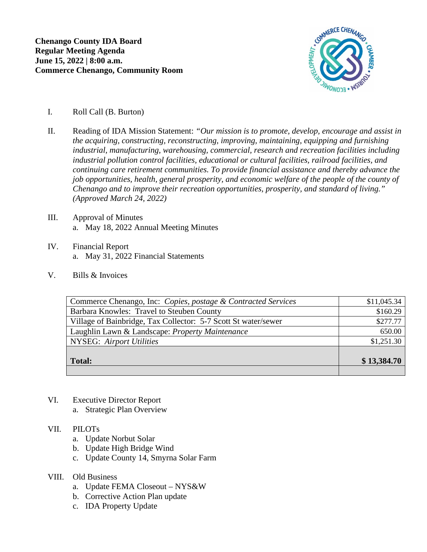

- I. Roll Call (B. Burton)
- II. Reading of IDA Mission Statement: *"Our mission is to promote, develop, encourage and assist in the acquiring, constructing, reconstructing, improving, maintaining, equipping and furnishing industrial, manufacturing, warehousing, commercial, research and recreation facilities including industrial pollution control facilities, educational or cultural facilities, railroad facilities, and continuing care retirement communities. To provide financial assistance and thereby advance the job opportunities, health, general prosperity, and economic welfare of the people of the county of Chenango and to improve their recreation opportunities, prosperity, and standard of living." (Approved March 24, 2022)*
- III. Approval of Minutes a. May 18, 2022 Annual Meeting Minutes
- IV. Financial Report a. May 31, 2022 Financial Statements
- V. Bills & Invoices

| Commerce Chenango, Inc: Copies, postage & Contracted Services  | \$11,045.34 |
|----------------------------------------------------------------|-------------|
| Barbara Knowles: Travel to Steuben County                      | \$160.29    |
| Village of Bainbridge, Tax Collector: 5-7 Scott St water/sewer | \$277.77    |
| Laughlin Lawn & Landscape: Property Maintenance                | 650.00      |
| <b>NYSEG:</b> Airport Utilities                                | \$1,251.30  |
|                                                                |             |
| <b>Total:</b>                                                  | \$13,384.70 |
|                                                                |             |

- VI. Executive Director Report
	- a. Strategic Plan Overview

## VII. PILOTs

- a. Update Norbut Solar
- b. Update High Bridge Wind
- c. Update County 14, Smyrna Solar Farm

## VIII. Old Business

- a. Update FEMA Closeout NYS&W
- b. Corrective Action Plan update
- c. IDA Property Update